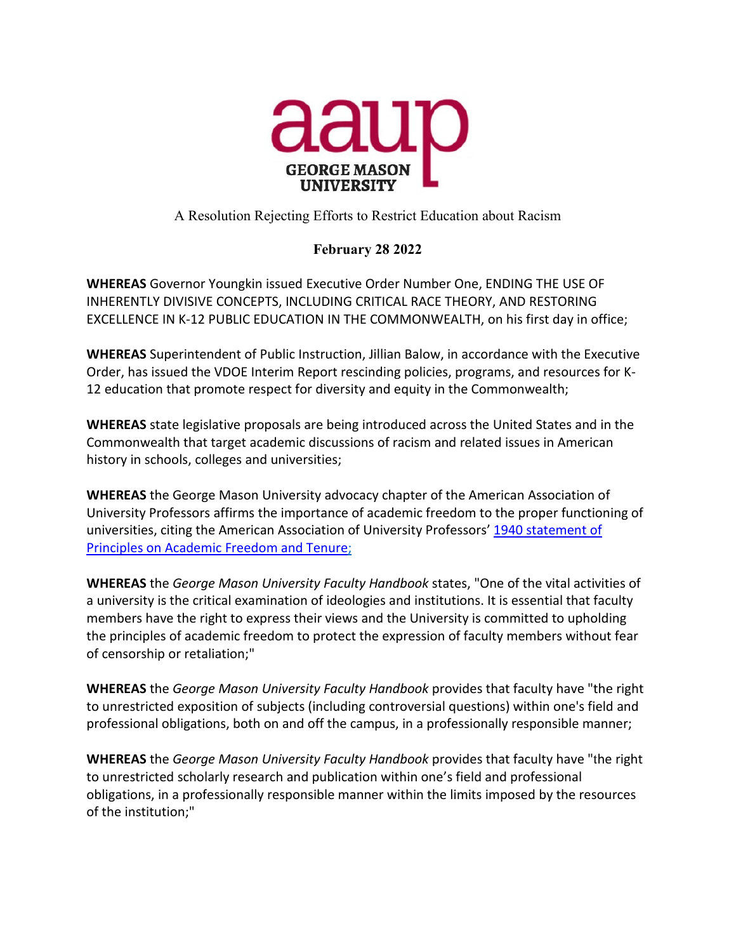

## A Resolution Rejecting Efforts to Restrict Education about Racism

## **February 28 2022**

**WHEREAS** Governor Youngkin issued Executive Order Number One, ENDING THE USE OF INHERENTLY DIVISIVE CONCEPTS, INCLUDING CRITICAL RACE THEORY, AND RESTORING EXCELLENCE IN K-12 PUBLIC EDUCATION IN THE COMMONWEALTH, on his first day in office;

**WHEREAS** Superintendent of Public Instruction, Jillian Balow, in accordance with the Executive Order, has issued the VDOE Interim Report rescinding policies, programs, and resources for K-12 education that promote respect for diversity and equity in the Commonwealth;

**WHEREAS** state legislative proposals are being introduced across the United States and in the Commonwealth that target academic discussions of racism and related issues in American history in schools, colleges and universities;

**WHEREAS** the George Mason University advocacy chapter of the American Association of University Professors affirms the importance of academic freedom to the proper functioning of universities, citing the American Association of University Professors[' 1940 statement of](https://www.google.com/url?q=https://www.google.com/url?q%3Dhttps://www.aaup.org/report/1940-statement-principles-academic-freedom-and-tenure%26amp;sa%3DD%26amp;source%3Deditors%26amp;ust%3D1645452936380471%26amp;usg%3DAOvVaw3dBvM2oFOeznoM8wClL_FO&sa=D&source=docs&ust=1645452936398438&usg=AOvVaw0vYs-cghQzKjePF5wenvXk)  [Principles on Academic Freedom and Tenure;](https://www.google.com/url?q=https://www.google.com/url?q%3Dhttps://www.aaup.org/report/1940-statement-principles-academic-freedom-and-tenure%26amp;sa%3DD%26amp;source%3Deditors%26amp;ust%3D1645452936380471%26amp;usg%3DAOvVaw3dBvM2oFOeznoM8wClL_FO&sa=D&source=docs&ust=1645452936398438&usg=AOvVaw0vYs-cghQzKjePF5wenvXk)

**WHEREAS** the *George Mason University Faculty Handbook* states, "One of the vital activities of a university is the critical examination of ideologies and institutions. It is essential that faculty members have the right to express their views and the University is committed to upholding the principles of academic freedom to protect the expression of faculty members without fear of censorship or retaliation;"

**WHEREAS** the *George Mason University Faculty Handbook* provides that faculty have "the right to unrestricted exposition of subjects (including controversial questions) within one's field and professional obligations, both on and off the campus, in a professionally responsible manner;

**WHEREAS** the *George Mason University Faculty Handbook* provides that faculty have "the right to unrestricted scholarly research and publication within one's field and professional obligations, in a professionally responsible manner within the limits imposed by the resources of the institution;"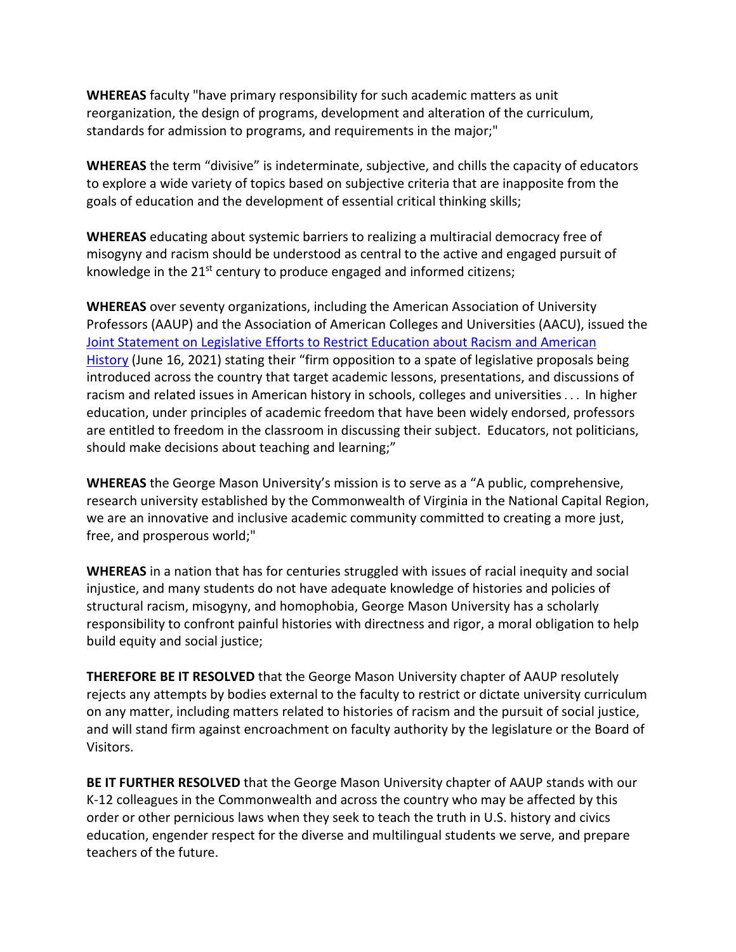**WHEREAS** faculty "have primary responsibility for such academic matters as unit reorganization, the design of programs, development and alteration of the curriculum, standards for admission to programs, and requirements in the major;"

**WHEREAS** the term "divisive" is indeterminate, subjective, and chills the capacity of educators to explore a wide variety of topics based on subjective criteria that are inapposite from the goals of education and the development of essential critical thinking skills;

**WHEREAS** educating about systemic barriers to realizing a multiracial democracy free of misogyny and racism should be understood as central to the active and engaged pursuit of knowledge in the 21<sup>st</sup> century to produce engaged and informed citizens;

**WHEREAS** over seventy organizations, including the American Association of University Professors (AAUP) and the Association of American Colleges and Universities (AACU), issued the [Joint Statement on Legislative Efforts to Restrict Education about Racism and American](https://www.google.com/url?q=https://www.google.com/url?q%3Dhttps://www.aaup.org/news/joint-statement-efforts-restrict-education-about-racism%2523.YT6FBJ5Kgqw%26amp;sa%3DD%26amp;source%3Deditors%26amp;ust%3D1645452200154758%26amp;usg%3DAOvVaw1V07fl3oRbAp41mb6D2ETq&sa=D&source=docs&ust=1645452200200012&usg=AOvVaw0PBZxahP4YwwS2_LdiOacH)  [History](https://www.google.com/url?q=https://www.google.com/url?q%3Dhttps://www.aaup.org/news/joint-statement-efforts-restrict-education-about-racism%2523.YT6FBJ5Kgqw%26amp;sa%3DD%26amp;source%3Deditors%26amp;ust%3D1645452200154758%26amp;usg%3DAOvVaw1V07fl3oRbAp41mb6D2ETq&sa=D&source=docs&ust=1645452200200012&usg=AOvVaw0PBZxahP4YwwS2_LdiOacH) (June 16, 2021) stating their "firm opposition to a spate of legislative proposals being introduced across the country that target academic lessons, presentations, and discussions of racism and related issues in American history in schools, colleges and universities. . . In higher education, under principles of academic freedom that have been widely endorsed, professors are entitled to freedom in the classroom in discussing their subject. Educators, not politicians, should make decisions about teaching and learning;"

**WHEREAS** the George Mason University's mission is to serve as a "A public, comprehensive, research university established by the Commonwealth of Virginia in the National Capital Region, we are an innovative and inclusive academic community committed to creating a more just, free, and prosperous world;"

**WHEREAS** in a nation that has for centuries struggled with issues of racial inequity and social injustice, and many students do not have adequate knowledge of histories and policies of structural racism, misogyny, and homophobia, George Mason University has a scholarly responsibility to confront painful histories with directness and rigor, a moral obligation to help build equity and social justice;

**THEREFORE BE IT RESOLVED** that the George Mason University chapter of AAUP resolutely rejects any attempts by bodies external to the faculty to restrict or dictate university curriculum on any matter, including matters related to histories of racism and the pursuit of social justice, and will stand firm against encroachment on faculty authority by the legislature or the Board of Visitors.

**BE IT FURTHER RESOLVED** that the George Mason University chapter of AAUP stands with our K-12 colleagues in the Commonwealth and across the country who may be affected by this order or other pernicious laws when they seek to teach the truth in U.S. history and civics education, engender respect for the diverse and multilingual students we serve, and prepare teachers of the future.